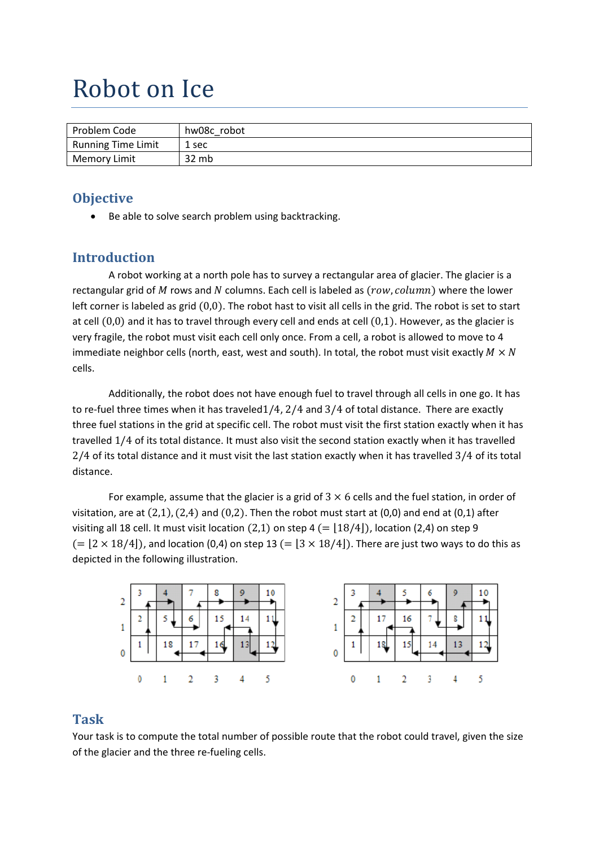# Robot on Ice

| Problem Code              | hw08c robot |
|---------------------------|-------------|
| <b>Running Time Limit</b> | 1 sec       |
| <b>Memory Limit</b>       | 32 mb       |

#### **Objective**

Be able to solve search problem using backtracking.

### **Introduction**

A robot working at a north pole has to survey a rectangular area of glacier. The glacier is a rectangular grid of  $M$  rows and  $N$  columns. Each cell is labeled as  $(row, column)$  where the lower left corner is labeled as grid  $(0,0)$ . The robot hast to visit all cells in the grid. The robot is set to start at cell  $(0,0)$  and it has to travel through every cell and ends at cell  $(0,1)$ . However, as the glacier is very fragile, the robot must visit each cell only once. From a cell, a robot is allowed to move to 4 immediate neighbor cells (north, east, west and south). In total, the robot must visit exactly  $M \times N$ cells.

Additionally, the robot does not have enough fuel to travel through all cells in one go. It has to re-fuel three times when it has traveled  $1/4$ ,  $2/4$  and  $3/4$  of total distance. There are exactly three fuel stations in the grid at specific cell. The robot must visit the first station exactly when it has travelled 1/4 of its total distance. It must also visit the second station exactly when it has travelled 2/4 of its total distance and it must visit the last station exactly when it has travelled 3/4 of its total distance.

For example, assume that the glacier is a grid of  $3 \times 6$  cells and the fuel station, in order of visitation, are at  $(2,1)$ ,  $(2,4)$  and  $(0,2)$ . Then the robot must start at  $(0,0)$  and end at  $(0,1)$  after visiting all 18 cell. It must visit location  $(2,1)$  on step 4  $(= |18/4|)$ , location (2,4) on step 9  $(12 \times 18/4)$ , and location (0,4) on step 13  $(13 \times 18/4)$ . There are just two ways to do this as depicted in the following illustration.



#### **Task**

Your task is to compute the total number of possible route that the robot could travel, given the size of the glacier and the three re-fueling cells.